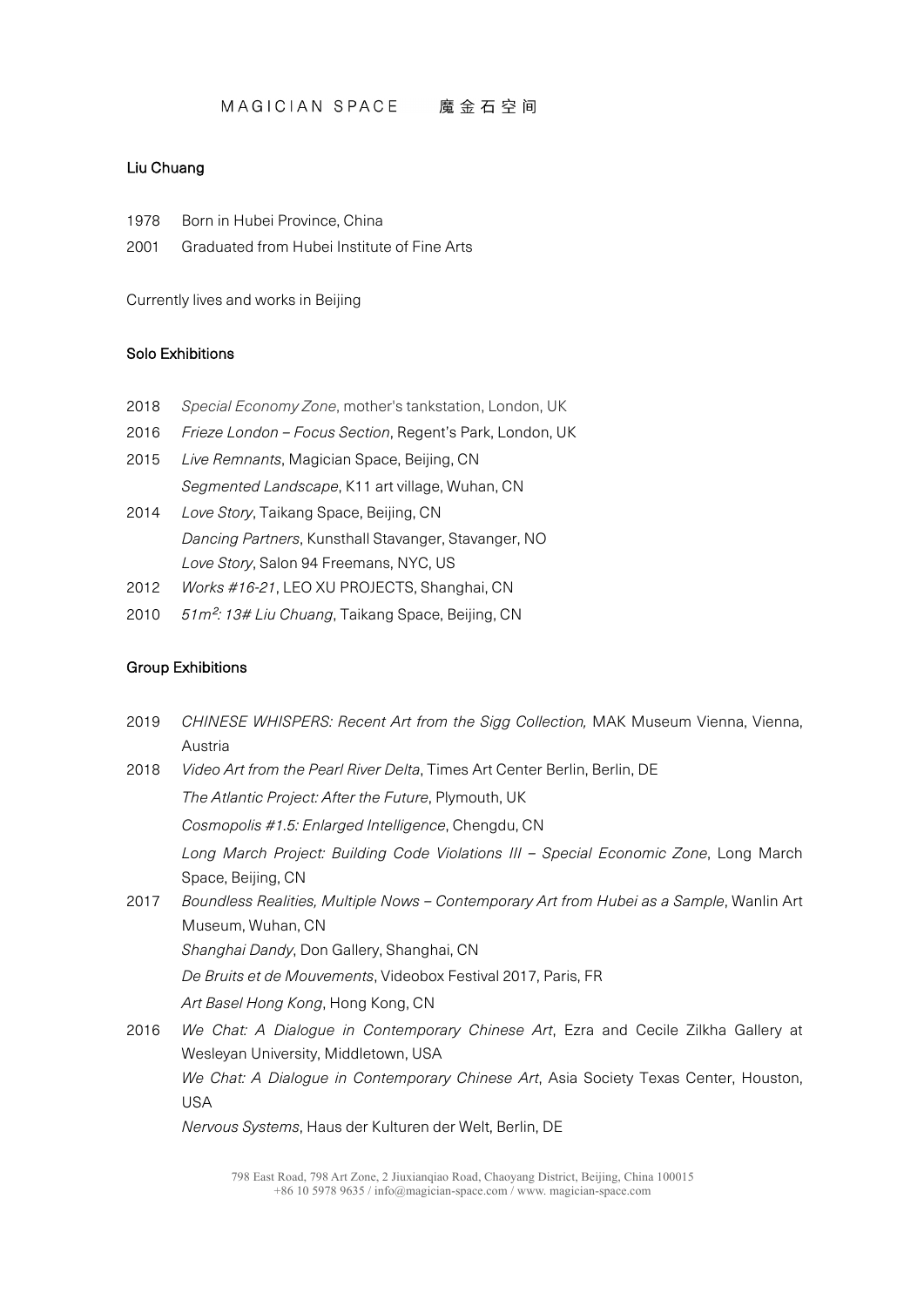### Liu Chuang

- 1978 Born in Hubei Province, China
- 2001 Graduated from Hubei Institute of Fine Arts

Currently lives and works in Beijing

#### Solo Exhibitions

- 2018 *Special Economy Zone*, mother's tankstation, London, UK
- 2016 *Frieze London – Focus Section*, Regent's Park, London, UK
- 2015 *Live Remnants*, Magician Space, Beijing, CN *Segmented Landscape*, K11 art village, Wuhan, CN
- 2014 *Love Story*, Taikang Space, Beijing, CN *Dancing Partners*, Kunsthall Stavanger, Stavanger, NO *Love Story*, Salon 94 Freemans, NYC, US
- 2012 *Works #16-21*, LEO XU PROJECTS, Shanghai, CN
- 2010 *51m*²*: 13# Liu Chuang*, Taikang Space, Beijing, CN

#### Group Exhibitions

2019 *CHINESE WHISPERS: Recent Art from the Sigg Collection,* MAK Museum Vienna, Vienna, Austria 2018 *Video Art from the Pearl River Delta*, Times Art Center Berlin, Berlin, DE *The Atlantic Project: After the Future*, Plymouth, UK *Cosmopolis #1.5: Enlarged Intelligence*, Chengdu, CN *Long March Project: Building Code Violations III – Special Economic Zone*, Long March Space, Beijing, CN 2017 *Boundless Realities, Multiple Nows – Contemporary Art from Hubei as a Sample*, Wanlin Art Museum, Wuhan, CN *Shanghai Dandy*, Don Gallery, Shanghai, CN *De Bruits et de Mouvements*, Videobox Festival 2017, Paris, FR *Art Basel Hong Kong*, Hong Kong, CN 2016 *We Chat: A Dialogue in Contemporary Chinese Art*, Ezra and Cecile Zilkha Gallery at Wesleyan University, Middletown, USA *We Chat: A Dialogue in Contemporary Chinese Art*, Asia Society Texas Center, Houston, USA

*Nervous Systems*, Haus der Kulturen der Welt, Berlin, DE

<sup>798</sup> East Road, 798 Art Zone, 2 Jiuxianqiao Road, Chaoyang District, Beijing, China 100015 +86 10 5978 9635 / info@magician-space.com / www. magician-space.com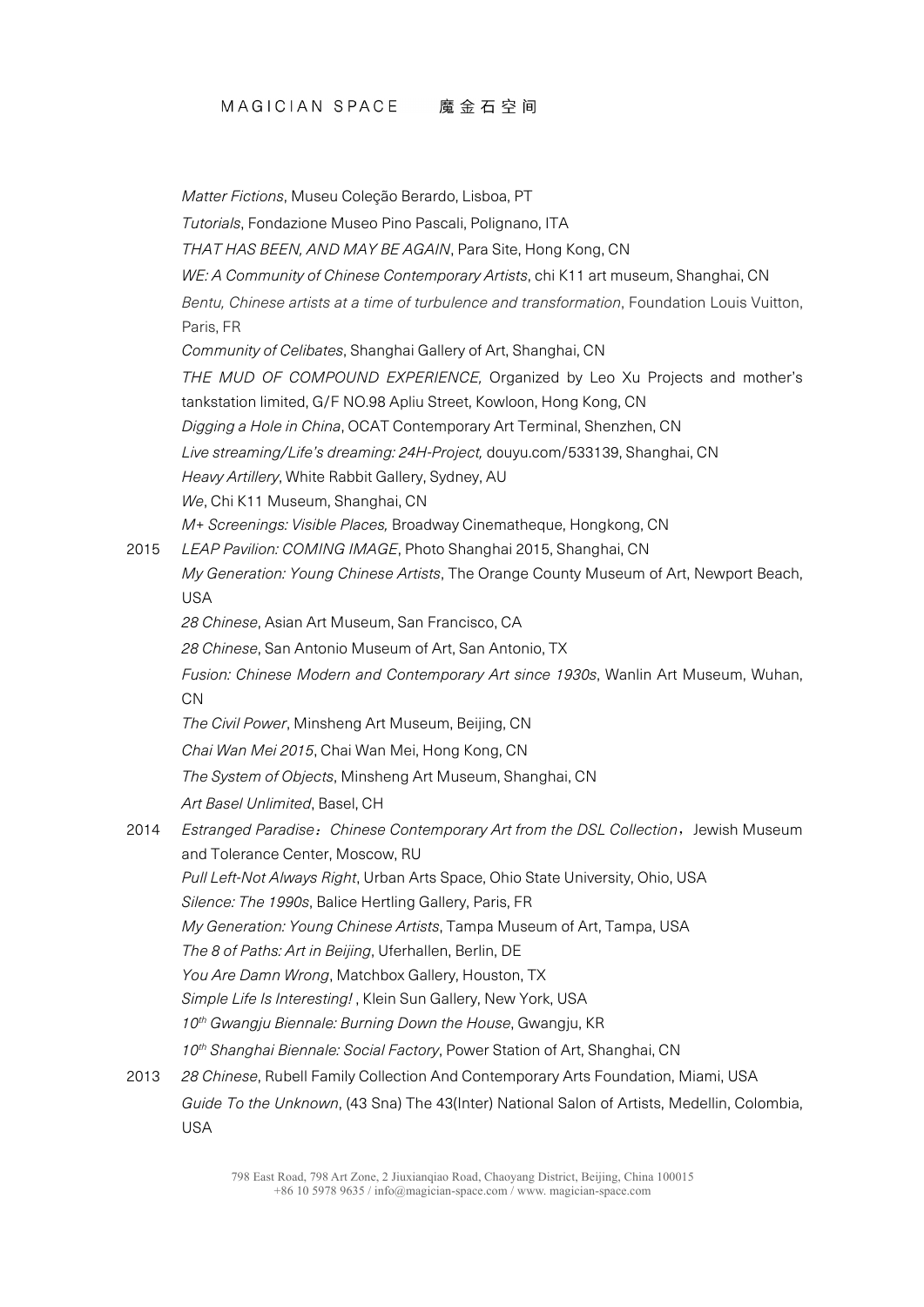*Matter Fictions*, Museu Coleção Berardo, Lisboa, PT

*Tutorials*, Fondazione Museo Pino Pascali, Polignano, ITA

*THAT HAS BEEN, AND MAY BE AGAIN*, Para Site, Hong Kong, CN

*WE: A Community of Chinese Contemporary Artists*, chi K11 art museum, Shanghai, CN

*Bentu, Chinese artists at a time of turbulence and transformation*, Foundation Louis Vuitton, Paris, FR

*Community of Celibates*, Shanghai Gallery of Art, Shanghai, CN

*THE MUD OF COMPOUND EXPERIENCE,* Organized by Leo Xu Projects and mother's tankstation limited, G/F NO.98 Apliu Street, Kowloon, Hong Kong, CN

*Digging a Hole in China*, OCAT Contemporary Art Terminal, Shenzhen, CN

*Live streaming/Life's dreaming: 24H-Project,* douyu.com/533139, Shanghai, CN

*Heavy Artillery*, White Rabbit Gallery, Sydney, AU

*We*, Chi K11 Museum, Shanghai, CN

*M+ Screenings: Visible Places,* Broadway Cinematheque, Hongkong, CN

2015 *LEAP Pavilion: COMING IMAGE*, Photo Shanghai 2015, Shanghai, CN

*My Generation: Young Chinese Artists*, The Orange County Museum of Art, Newport Beach, USA

*28 Chinese*, Asian Art Museum, San Francisco, CA

*28 Chinese*, San Antonio Museum of Art, San Antonio, TX

*Fusion: Chinese Modern and Contemporary Art since 1930s*, Wanlin Art Museum, Wuhan, CN

*The Civil Power*, Minsheng Art Museum, Beijing, CN

*Chai Wan Mei 2015*, Chai Wan Mei, Hong Kong, CN

*The System of Objects*, Minsheng Art Museum, Shanghai, CN

*Art Basel Unlimited*, Basel, CH

2014 *Estranged Paradise*:*Chinese Contemporary Art from the DSL Collection*,Jewish Museum and Tolerance Center, Moscow, RU

*Pull Left-Not Always Right*, Urban Arts Space, Ohio State University, Ohio, USA

*Silence: The 1990s*, Balice Hertling Gallery, Paris, FR

*My Generation: Young Chinese Artists*, Tampa Museum of Art, Tampa, USA

*The 8 of Paths: Art in Beijing*, Uferhallen, Berlin, DE

*You Are Damn Wrong*, Matchbox Gallery, Houston, TX

*Simple Life Is Interesting!* , Klein Sun Gallery, New York, USA

*10th Gwangju Biennale: Burning Down the House*, Gwangju, KR

*10th Shanghai Biennale: Social Factory*, Power Station of Art, Shanghai, CN

2013 *28 Chinese*, Rubell Family Collection And Contemporary Arts Foundation, Miami, USA *Guide To the Unknown*, (43 Sna) The 43(Inter) National Salon of Artists, Medellin, Colombia, USA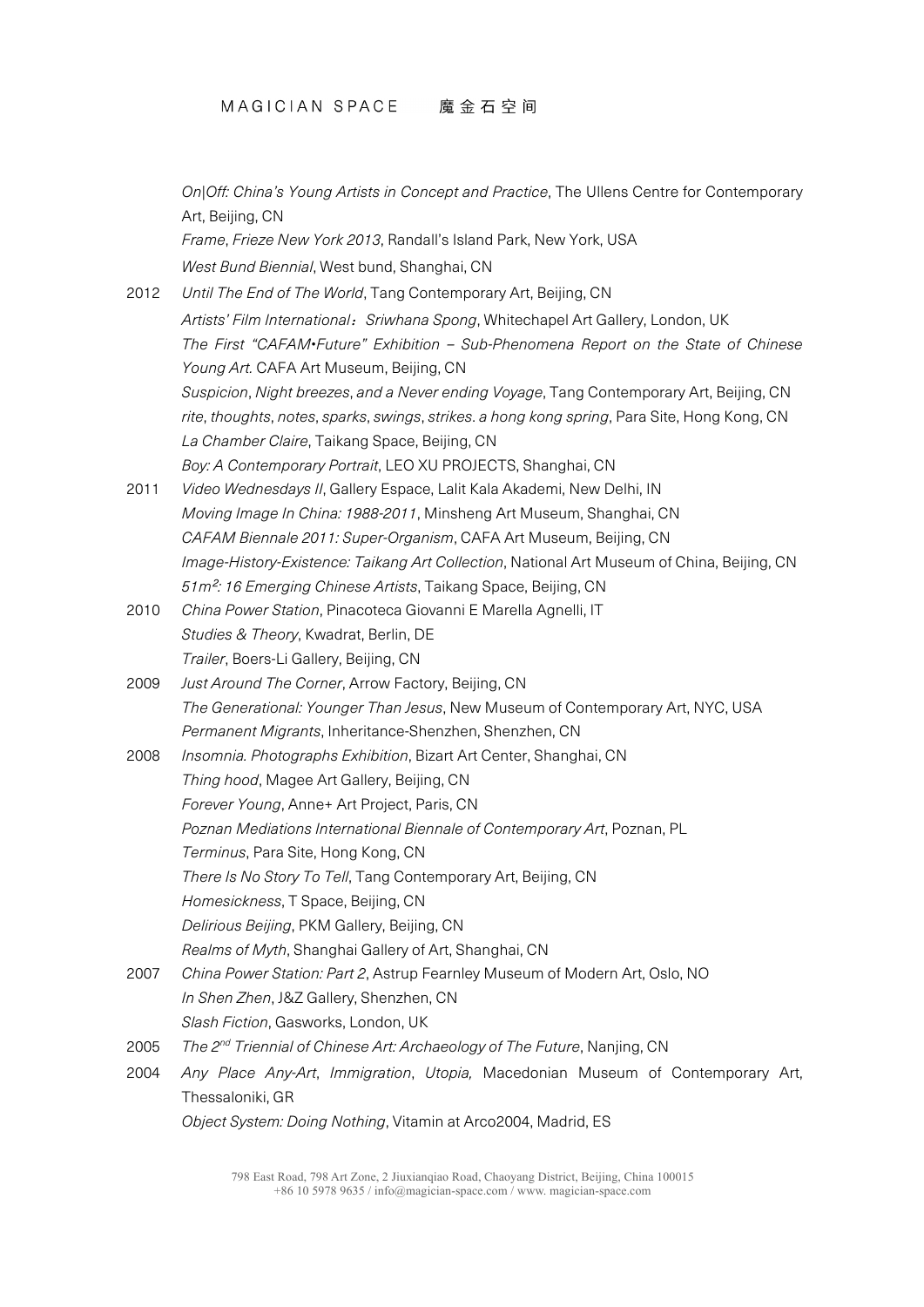*On|Off: China's Young Artists in Concept and Practice*, The Ullens Centre for Contemporary Art, Beijing, CN

*Frame*, *Frieze New York 2013*, Randall's Island Park, New York, USA *West Bund Biennial*, West bund, Shanghai, CN

- 2012 *Until The End of The World*, Tang Contemporary Art, Beijing, CN *Artists' Film International*:*Sriwhana Spong*, Whitechapel Art Gallery, London, UK *The First "CAFAM•Future" Exhibition – Sub-Phenomena Report on the State of Chinese Young Art.* CAFA Art Museum, Beijing, CN *Suspicion*, *Night breezes*, *and a Never ending Voyage*, Tang Contemporary Art, Beijing, CN *rite*, *thoughts*, *notes*, *sparks*, *swings*, *strikes*. *a hong kong spring*, Para Site, Hong Kong, CN *La Chamber Claire*, Taikang Space, Beijing, CN *Boy: A Contemporary Portrait*, LEO XU PROJECTS, Shanghai, CN
- 2011 *Video Wednesdays II*, Gallery Espace, Lalit Kala Akademi, New Delhi, IN *Moving Image In China: 1988-2011*, Minsheng Art Museum, Shanghai, CN *CAFAM Biennale 2011: Super-Organism*, CAFA Art Museum, Beijing, CN *Image-History-Existence: Taikang Art Collection*, National Art Museum of China, Beijing, CN *51m*²*: 16 Emerging Chinese Artists*, Taikang Space, Beijing, CN
- 2010 *China Power Station*, Pinacoteca Giovanni E Marella Agnelli, IT *Studies & Theory*, Kwadrat, Berlin, DE *Trailer*, Boers-Li Gallery, Beijing, CN
- 2009 *Just Around The Corner*, Arrow Factory, Beijing, CN *The Generational: Younger Than Jesus*, New Museum of Contemporary Art, NYC, USA *Permanent Migrants*, Inheritance-Shenzhen, Shenzhen, CN
- 2008 *Insomnia. Photographs Exhibition*, Bizart Art Center, Shanghai, CN *Thing hood*, Magee Art Gallery, Beijing, CN *Forever Young*, Anne+ Art Project, Paris, CN *Poznan Mediations International Biennale of Contemporary Art*, Poznan, PL *Terminus*, Para Site, Hong Kong, CN *There Is No Story To Tell*, Tang Contemporary Art, Beijing, CN *Homesickness*, T Space, Beijing, CN *Delirious Beijing*, PKM Gallery, Beijing, CN *Realms of Myth*, Shanghai Gallery of Art, Shanghai, CN
- 2007 *China Power Station: Part 2*, Astrup Fearnley Museum of Modern Art, Oslo, NO *In Shen Zhen*, J&Z Gallery, Shenzhen, CN *Slash Fiction*, Gasworks, London, UK
- 2005 *The 2nd Triennial of Chinese Art: Archaeology of The Future*, Nanjing, CN
- 2004 *Any Place Any-Art*, *Immigration*, *Utopia,* Macedonian Museum of Contemporary Art, Thessaloniki, GR

*Object System: Doing Nothing*, Vitamin at Arco2004, Madrid, ES